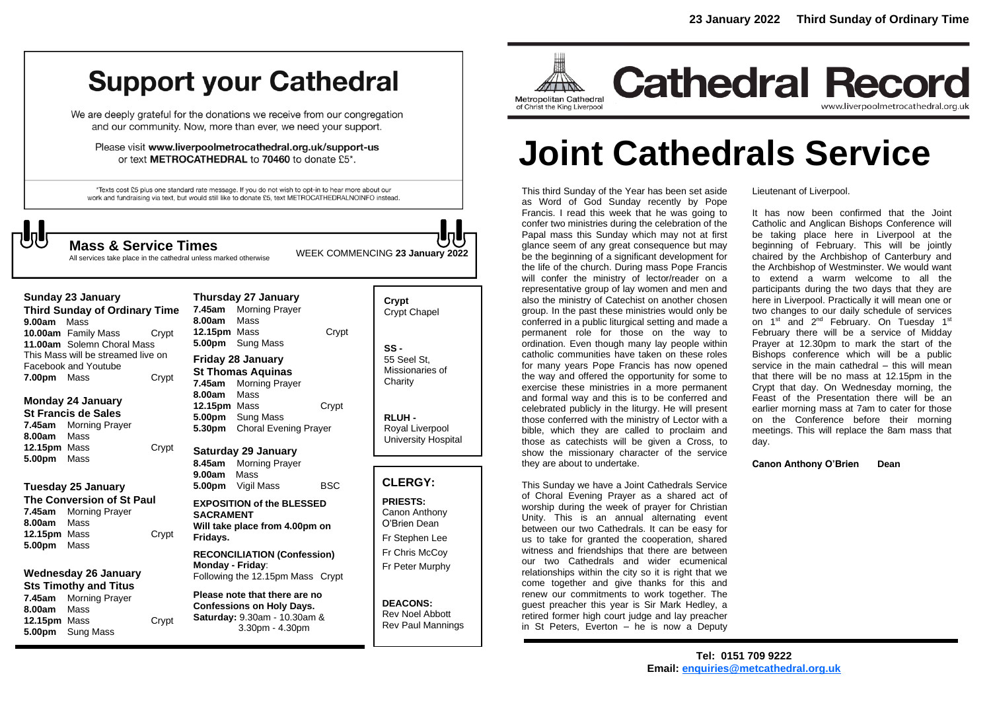# **Support your Cathedral**

We are deeply grateful for the donations we receive from our congregation and our community. Now, more than ever, we need your support.

Please visit www.liverpoolmetrocathedral.org.uk/support-us or text METROCATHEDRAL to 70460 to donate £5\*.

\*Texts cost £5 plus one standard rate message. If you do not wish to opt-in to hear more about our work and fundraising via text, but would still like to donate £5, text METROCATHEDRALNOINFO instead.



WEEK COMMENCING **<sup>23</sup> January 2022 Mass & Service Times**

All services take place in the cathedral unless marked otherwise

| 9.00am Mass                                | Sunday 23 January<br><b>Third Sunday of Ordinary Time</b>                                      |                                                                                            | 7.45am<br>8.00am                           | Thursday 27 January<br><b>Morning Prayer</b><br>Mass                                                                 |                                   | Crypt<br>Crypt Chapel                                                 |
|--------------------------------------------|------------------------------------------------------------------------------------------------|--------------------------------------------------------------------------------------------|--------------------------------------------|----------------------------------------------------------------------------------------------------------------------|-----------------------------------|-----------------------------------------------------------------------|
|                                            | <b>10.00am</b> Family Mass<br>11.00am Solemn Choral Mass<br>This Mass will be streamed live on | Crypt                                                                                      | 12.15pm Mass<br>5.00pm                     | Sung Mass                                                                                                            | Crypt                             | $SS -$                                                                |
| 7.00pm                                     | Facebook and Youtube<br>Mass                                                                   | Crypt                                                                                      | 7.45am                                     | <b>Friday 28 January</b><br><b>St Thomas Aquinas</b><br><b>Morning Prayer</b>                                        |                                   | 55 Seel St.<br>Missionaries of<br>Charity                             |
| 7.45am<br>8.00am                           | <b>Monday 24 January</b><br><b>St Francis de Sales</b><br><b>Morning Prayer</b><br>Mass        |                                                                                            | 8.00am<br>12.15pm Mass<br>5.00pm<br>5.30pm | Mass<br>Sung Mass<br><b>Choral Evening Prayer</b>                                                                    | Crypt                             | RLUH-<br>Royal Liverpool<br>University Hospital                       |
| 12.15pm Mass<br>5.00pm                     | Mass                                                                                           | Crypt                                                                                      | 8.45am                                     | Saturday 29 January<br><b>Morning Prayer</b>                                                                         |                                   |                                                                       |
|                                            | Tuesday 25 January                                                                             |                                                                                            | 9.00am<br>5.00pm                           | Mass<br>Vigil Mass                                                                                                   | <b>BSC</b>                        | <b>CLERGY:</b>                                                        |
| 8.00am<br>12.15pm Mass<br>5.00pm           | The Conversion of St Paul<br>7.45am Morning Prayer<br>Mass<br>Mass                             | Crypt                                                                                      | <b>SACRAMENT</b><br>Fridays.               | <b>EXPOSITION of the BLESSED</b><br>Will take place from 4.00pm on                                                   |                                   | <b>PRIESTS:</b><br>Canon Anthony<br>O'Brien Dean<br>Fr Stephen Lee    |
| <b>Wednesday 26 January</b>                |                                                                                                | <b>RECONCILIATION (Confession)</b><br>Monday - Friday:<br>Following the 12.15pm Mass Crypt |                                            |                                                                                                                      | Fr Chris McCoy<br>Fr Peter Murphy |                                                                       |
| 7.45am<br>8.00am<br>12.15pm Mass<br>5.00pm | <b>Sts Timothy and Titus</b><br><b>Morning Prayer</b><br>Mass<br>Sung Mass                     | Crypt                                                                                      |                                            | Please note that there are no<br><b>Confessions on Holy Days.</b><br>Saturday: 9.30am - 10.30am &<br>3.30pm - 4.30pm |                                   | <b>DEACONS:</b><br><b>Rev Noel Abbott</b><br><b>Rev Paul Mannings</b> |



**Cathedral Record** www.liverpoolmetrocathedral.org.uk

# **Joint Cathedrals Service**

This third Sunday of the Year has been set aside as Word of God Sunday recently by Pope Francis. I read this week that he was going to confer two ministries during the celebration of the Papal mass this Sunday which may not at first glance seem of any great consequence but may be the beginning of a significant development for the life of the church. During mass Pope Francis will confer the ministry of lector/reader on a representative group of lay women and men and also the ministry of Catechist on another chosen group. In the past these ministries would only be conferred in a public liturgical setting and made a permanent role for those on the way to ordination. Even though many lay people within catholic communities have taken on these roles for many years Pope Francis has now opened the way and offered the opportunity for some to exercise these ministries in a more permanent and formal way and this is to be conferred and celebrated publicly in the liturgy. He will present those conferred with the ministry of Lector with a bible, which they are called to proclaim and those as catechists will be given a Cross, to show the missionary character of the service they are about to undertake.

This Sunday we have a Joint Cathedrals Service of Choral Evening Prayer as a shared act of worship during the week of prayer for Christian Unity. This is an annual alternating event between our two Cathedrals. It can be easy for us to take for granted the cooperation, shared witness and friendships that there are between our two Cathedrals and wider ecumenical relationships within the city so it is right that we come together and give thanks for this and renew our commitments to work together. The guest preacher this year is Sir Mark Hedley, a retired former high court judge and lay preacher in St Peters, Everton – he is now a Deputy

Lieutenant of Liverpool.

It has now been confirmed that the Joint Catholic and Anglican Bishops Conference will be taking place here in Liverpool at the beginning of February. This will be jointly chaired by the Archbishop of Canterbury and the Archbishop of Westminster. We would want to extend a warm welcome to all the participants during the two days that they are here in Liverpool. Practically it will mean one or two changes to our daily schedule of services on 1<sup>st</sup> and 2<sup>nd</sup> February. On Tuesday 1<sup>st</sup> February there will be a service of Midday Prayer at 12.30pm to mark the start of the Bishops conference which will be a public service in the main cathedral – this will mean that there will be no mass at 12.15pm in the Crypt that day. On Wednesday morning, the Feast of the Presentation there will be an earlier morning mass at 7am to cater for those on the Conference before their morning meetings. This will replace the 8am mass that day.

**Canon Anthony O'Brien Dean**